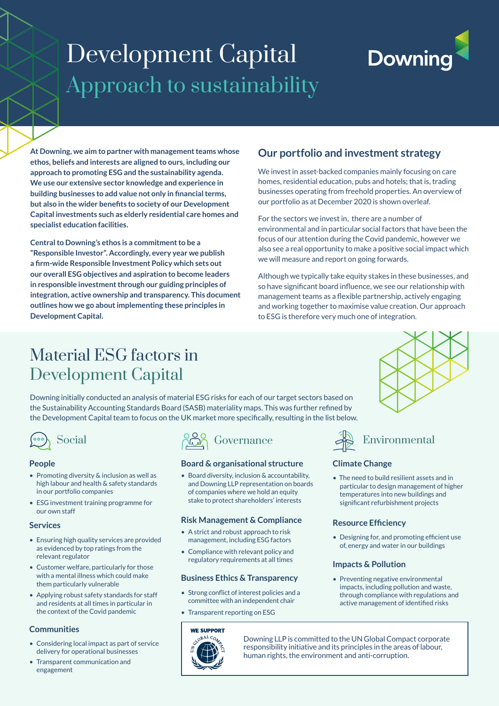## Development Capital Approach to sustainability

# **Downing**

**At Downing, we aim to partner with management teams whose ethos, beliefs and interests are aligned to ours, including our approach to promoting ESG and the sustainability agenda. We use our extensive sector knowledge and experience in building businesses to add value not only in financial terms, but also in the wider benefits to society of our Development Capital investments such as elderly residential care homes and specialist education facilities.** 

**Central to Downing's ethos is a commitment to be a "Responsible Investor". Accordingly, every year we publish a firm-wide Responsible Investment Policy which sets out our overall ESG objectives and aspiration to become leaders in responsible investment through our guiding principles of integration, active ownership and transparency. This document outlines how we go about implementing these principles in Development Capital.**

#### **Our portfolio and investment strategy**

We invest in asset-backed companies mainly focusing on care homes, residential education, pubs and hotels; that is, trading businesses operating from freehold properties. An overview of our portfolio as at December 2020 is shown overleaf.

For the sectors we invest in, there are a number of environmental and in particular social factors that have been the focus of our attention during the Covid pandemic, however we also see a real opportunity to make a positive social impact which we will measure and report on going forwards.

Although we typically take equity stakes in these businesses, and so have significant board influence, we see our relationship with management teams as a flexible partnership, actively engaging and working together to maximise value creation. Our approach to ESG is therefore very much one of integration.

## Material ESG factors in Development Capital

Downing initially conducted an analysis of material ESG risks for each of our target sectors based on the Sustainability Accounting Standards Board (SASB) materiality maps. This was further refined by the Development Capital team to focus on the UK market more specifically, resulting in the list below.



#### **People**

- Promoting diversity & inclusion as well as high labour and health & safety standards in our portfolio companies
- ESG investment training programme for our own staff

#### **Services**

- Ensuring high quality services are provided as evidenced by top ratings from the relevant regulator
- Customer welfare, particularly for those with a mental illness which could make them particularly vulnerable
- Applying robust safety standards for staff and residents at all times in particular in the context of the Covid pandemic

#### **Communities**

- Considering local impact as part of service delivery for operational businesses
- Transparent communication and engagement



#### **Board & organisational structure**

• Board diversity, inclusion & accountability, and Downing LLP representation on boards of companies where we hold an equity stake to protect shareholders' interests

#### **Risk Management & Compliance**

- A strict and robust approach to risk management, including ESG factors
- Compliance with relevant policy and regulatory requirements at all times

#### **Business Ethics & Transparency**

- Strong conflict of interest policies and a committee with an independent chair
- Transparent reporting on ESG





## Social Good Governance AS Environmental

#### **Climate Change**

• The need to build resilient assets and in particular to design management of higher temperatures into new buildings and significant refurbishment projects

#### **Resource Efficiency**

• Designing for, and promoting efficient use of, energy and water in our buildings

#### **Impacts & Pollution**

• Preventing negative environmental impacts, including pollution and waste, through compliance with regulations and active management of identified risks

Downing LLP is committed to the UN Global Compact corporate responsibility initiative and its principles in the areas of labour, human rights, the environment and anti-corruption.